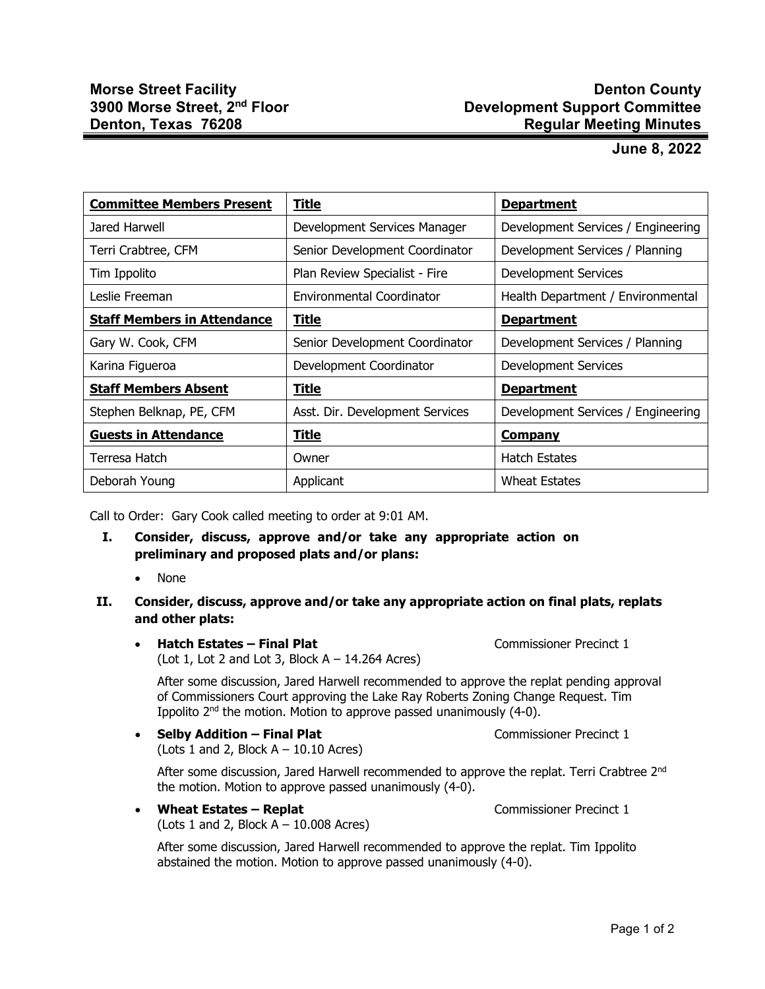## **Denton County Development Support Committee Regular Meeting Minutes**

## **June 8, 2022**

| <b>Committee Members Present</b>   | <b>Title</b>                    | <b>Department</b>                  |
|------------------------------------|---------------------------------|------------------------------------|
| Jared Harwell                      | Development Services Manager    | Development Services / Engineering |
| Terri Crabtree, CFM                | Senior Development Coordinator  | Development Services / Planning    |
| Tim Ippolito                       | Plan Review Specialist - Fire   | Development Services               |
| Leslie Freeman                     | Environmental Coordinator       | Health Department / Environmental  |
| <b>Staff Members in Attendance</b> | <b>Title</b>                    | <b>Department</b>                  |
| Gary W. Cook, CFM                  | Senior Development Coordinator  | Development Services / Planning    |
| Karina Figueroa                    | Development Coordinator         | <b>Development Services</b>        |
| <b>Staff Members Absent</b>        | Title                           | <b>Department</b>                  |
| Stephen Belknap, PE, CFM           | Asst. Dir. Development Services | Development Services / Engineering |
| <b>Guests in Attendance</b>        | <b>Title</b>                    | <b>Company</b>                     |
| Terresa Hatch                      | Owner                           | <b>Hatch Estates</b>               |
| Deborah Young                      | Applicant                       | <b>Wheat Estates</b>               |

Call to Order: Gary Cook called meeting to order at 9:01 AM.

- **I. Consider, discuss, approve and/or take any appropriate action on preliminary and proposed plats and/or plans:**
	- None

## **II. Consider, discuss, approve and/or take any appropriate action on final plats, replats and other plats:**

• **Hatch Estates – Final Plat** Commissioner Precinct 1 (Lot 1, Lot 2 and Lot 3, Block  $A - 14.264$  Acres)

After some discussion, Jared Harwell recommended to approve the replat pending approval of Commissioners Court approving the Lake Ray Roberts Zoning Change Request. Tim Ippolito 2nd the motion. Motion to approve passed unanimously (4-0).

• **Selby Addition – Final Plat** Commissioner Precinct 1 (Lots 1 and 2, Block  $A - 10.10$  Acres)

After some discussion, Jared Harwell recommended to approve the replat. Terri Crabtree 2<sup>nd</sup> the motion. Motion to approve passed unanimously (4-0).

• **Wheat Estates – Replat** Commissioner Precinct 1 (Lots 1 and 2, Block  $A - 10.008$  Acres)

After some discussion, Jared Harwell recommended to approve the replat. Tim Ippolito abstained the motion. Motion to approve passed unanimously (4-0).